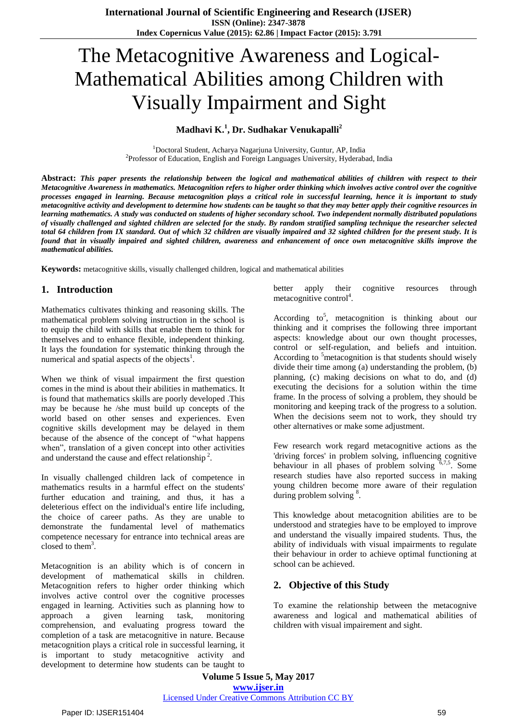# The Metacognitive Awareness and Logical-Mathematical Abilities among Children with Visually Impairment and Sight

### **Madhavi K.<sup>1</sup> , Dr. Sudhakar Venukapalli<sup>2</sup>**

<sup>1</sup>Doctoral Student, Acharya Nagarjuna University, Guntur, AP, India <sup>2</sup>Professor of Education, English and Foreign Languages University, Hyderabad, India

Abstract: This paper presents the relationship between the logical and mathematical abilities of children with respect to their Metacognitive Awareness in mathematics. Metacognition refers to higher order thinking which involves active control over the cognitive processes engaged in learning. Because metacognition plays a critical role in successful learning, hence it is important to study metacognitive activity and development to determine how students can be taught so that they may better apply their cognitive resources in learning mathematics. A study was conducted on students of higher secondary school. Two independent normally distributed populations of visually challenged and sighted children are selected for the study. By random stratified sampling technique the researcher selected total 64 children from IX standard. Out of which 32 children are visually impaired and 32 sighted children for the present study. It is found that in visually impaired and sighted children, awareness and enhancement of once own metacognitive skills improve the *mathematical abilities.*

**Keywords:** metacognitive skills, visually challenged children, logical and mathematical abilities

### **1. Introduction**

Mathematics cultivates thinking and reasoning skills. The mathematical problem solving instruction in the school is to equip the child with skills that enable them to think for themselves and to enhance flexible, independent thinking. It lays the foundation for systematic thinking through the numerical and spatial aspects of the objects<sup>1</sup>.

When we think of visual impairment the first question comes in the mind is about their abilities in mathematics. It is found that mathematics skills are poorly developed .This may be because he /she must build up concepts of the world based on other senses and experiences. Even cognitive skills development may be delayed in them because of the absence of the concept of "what happens when", translation of a given concept into other activities and understand the cause and effect relationship<sup>2</sup>.

In visually challenged children lack of competence in mathematics results in a harmful effect on the students' further education and training, and thus, it has a deleterious effect on the individual's entire life including, the choice of career paths. As they are unable to demonstrate the fundamental level of mathematics competence necessary for entrance into technical areas are closed to them<sup>3</sup>.

Metacognition is an ability which is of concern in development of mathematical skills in children. Metacognition refers to higher order thinking which involves active control over the cognitive processes engaged in learning. Activities such as planning how to approach a given learning task, monitoring comprehension, and evaluating progress toward the completion of a task are metacognitive in nature. Because metacognition plays a critical role in successful learning, it is important to study metacognitive activity and development to determine how students can be taught to

better apply their cognitive resources through  $metacognitive control<sup>4</sup>$ .

According to<sup>5</sup>, metacognition is thinking about our thinking and it comprises the following three important aspects: knowledge about our own thought processes, control or self-regulation, and beliefs and intuition. According to <sup>3</sup>metacognition is that students should wisely divide their time among (a) understanding the problem, (b) planning, (c) making decisions on what to do, and (d) executing the decisions for a solution within the time frame. In the process of solving a problem, they should be monitoring and keeping track of the progress to a solution. When the decisions seem not to work, they should try other alternatives or make some adjustment.

Few research work regard metacognitive actions as the 'driving forces' in problem solving, influencing cognitive behaviour in all phases of problem solving  $6,7,5$ . Some research studies have also reported success in making young children become more aware of their regulation during problem solving <sup>8</sup>.

This knowledge about metacognition abilities are to be understood and strategies have to be employed to improve and understand the visually impaired students. Thus, the ability of individuals with visual impairments to regulate their behaviour in order to achieve optimal functioning at school can be achieved.

### **2. Objective of this Study**

To examine the relationship between the metacognive awareness and logical and mathematical abilities of children with visual impairement and sight.

**Volume 5 Issue 5, May 2017 www.ijser.in** Licensed Under Creative Commons Attribution CC BY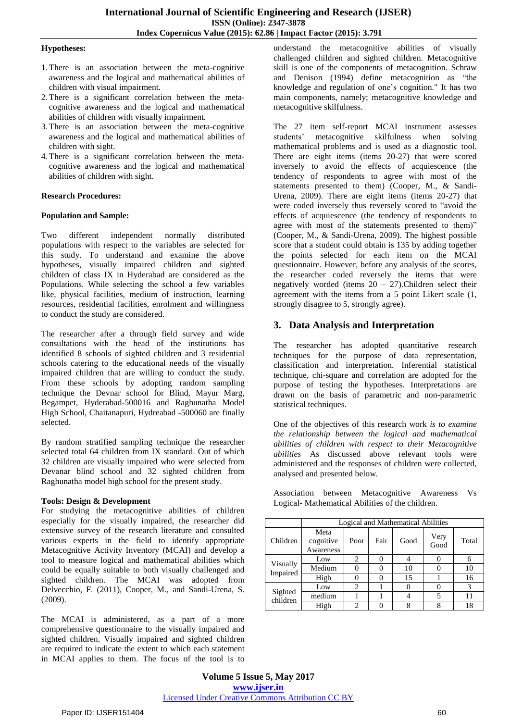#### **Hypotheses:**

- 1.There is an association between the meta-cognitive awareness and the logical and mathematical abilities of children with visual impairment.
- 2.There is a significant correlation between the metacognitive awareness and the logical and mathematical abilities of children with visually impairment.
- 3.There is an association between the meta-cognitive awareness and the logical and mathematical abilities of children with sight.
- 4.There is a significant correlation between the metacognitive awareness and the logical and mathematical abilities of children with sight.

#### **Research Procedures:**

#### **Population and Sample:**

Two different independent normally distributed populations with respect to the variables are selected for this study. To understand and examine the above hypotheses, visually impaired children and sighted children of class IX in Hyderabad are considered as the Populations. While selecting the school a few variables like, physical facilities, medium of instruction, learning resources, residential facilities, enrolment and willingness to conduct the study are considered.

The researcher after a through field survey and wide consultations with the head of the institutions has identified 8 schools of sighted children and 3 residential schools catering to the educational needs of the visually impaired children that are willing to conduct the study. From these schools by adopting random sampling technique the Devnar school for Blind, Mayur Marg, Begampet, Hyderabad-500016 and Raghunatha Model High School, Chaitanapuri, Hydreabad -500060 are finally selected.

By random stratified sampling technique the researcher selected total 64 children from IX standard. Out of which 32 children are visually impaired who were selected from Devanar blind school and 32 sighted children from Raghunatha model high school for the present study.

#### **Tools: Design & Development**

For studying the metacognitive abilities of children especially for the visually impaired, the researcher did extensive survey of the research literature and consulted various experts in the field to identify appropriate Metacognitive Activity Inventory (MCAI) and develop a tool to measure logical and mathematical abilities which could be equally suitable to both visually challenged and sighted children. The MCAI was adopted from Delvecchio, F. (2011), Cooper, M., and Sandi-Urena, S. (2009).

The MCAI is administered, as a part of a more comprehensive questionnaire to the visually impaired and sighted children. Visually impaired and sighted children are required to indicate the extent to which each statement in MCAI applies to them. The focus of the tool is to

understand the metacognitive abilities of visually challenged children and sighted children. Metacognitive skill is one of the components of metacognition. Schraw and Denison (1994) define metacognition as "the knowledge and regulation of one's cognition." It has two main components, namely; metacognitive knowledge and metacognitive skilfulness.

The 27 item self-report MCAI instrument assesses students' metacognitive skilfulness when solving mathematical problems and is used as a diagnostic tool. There are eight items (items 20-27) that were scored inversely to avoid the effects of acquiescence (the tendency of respondents to agree with most of the statements presented to them) (Cooper, M., & Sandi-Urena, 2009). There are eight items (items 20-27) that were coded inversely thus reversely scored to "avoid the effects of acquiescence (the tendency of respondents to agree with most of the statements presented to them)" (Cooper, M., & Sandi-Urena, 2009). The highest possible score that a student could obtain is 135 by adding together the points selected for each item on the MCAI questionnaire. However, before any analysis of the scores, the researcher coded reversely the items that were negatively worded (items  $20 - 27$ ).Children select their agreement with the items from a 5 point Likert scale (1, strongly disagree to 5, strongly agree).

## **3. Data Analysis and Interpretation**

The researcher has adopted quantitative research techniques for the purpose of data representation, classification and interpretation. Inferential statistical technique, chi-square and correlation are adopted for the purpose of testing the hypotheses. Interpretations are drawn on the basis of parametric and non-parametric statistical techniques.

One of the objectives of this research work *is to examine the relationship between the logical and mathematical abilities of children with respect to their Metacognitive abilities* As discussed above relevant tools were administered and the responses of children were collected, analysed and presented below.

Association between Metacognitive Awareness Vs Logical- Mathematical Abilities of the children.

|                      | Logical and Mathematical Abilities |      |      |      |              |       |
|----------------------|------------------------------------|------|------|------|--------------|-------|
| Children             | Meta<br>cognitive<br>Awareness     | Poor | Fair | Good | Very<br>Good | Total |
| Visually<br>Impaired | Low                                | 2    |      |      |              | 6     |
|                      | Medium                             |      |      | 10   |              | 10    |
|                      | High                               |      |      | 15   |              | 16    |
| Sighted<br>children  | Low                                | 2    |      |      |              | 3     |
|                      | medium                             |      |      |      |              |       |
|                      | High                               |      |      |      |              | 18    |

**Volume 5 Issue 5, May 2017 www.ijser.in** Licensed Under Creative Commons Attribution CC BY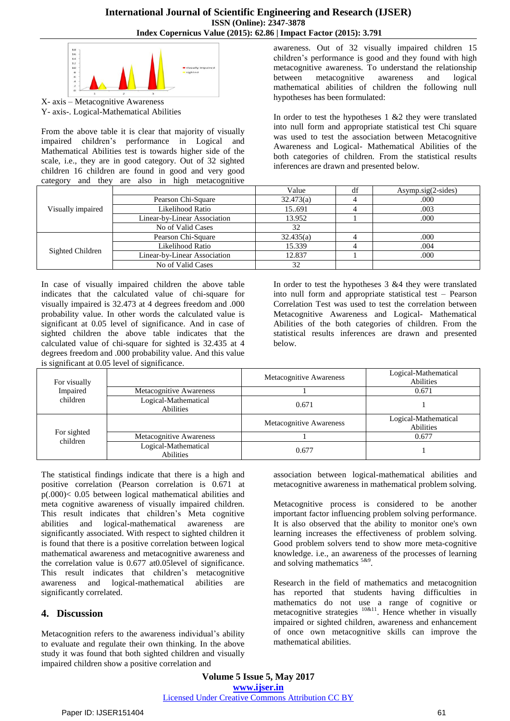#### **International Journal of Scientific Engineering and Research (IJSER) ISSN (Online): 2347-3878 Index Copernicus Value (2015): 62.86 | Impact Factor (2015): 3.791**



X- axis – Metacognitive Awareness Y- axis-. Logical-Mathematical Abilities

From the above table it is clear that majority of visually impaired children's performance in Logical and Mathematical Abilities test is towards higher side of the scale, i.e., they are in good category. Out of 32 sighted children 16 children are found in good and very good category and they are also in high metacognitive

awareness. Out of 32 visually impaired children 15 children's performance is good and they found with high metacognitive awareness. To understand the relationship between metacognitive awareness and logical mathematical abilities of children the following null hypotheses has been formulated:

In order to test the hypotheses  $1 \& 2$  they were translated into null form and appropriate statistical test Chi square was used to test the association between Metacognitive Awareness and Logical- Mathematical Abilities of the both categories of children. From the statistical results inferences are drawn and presented below.

| Visually impaired |                              | Value     | df | $Asymp.size(2-sides)$ |
|-------------------|------------------------------|-----------|----|-----------------------|
|                   | Pearson Chi-Square           | 32.473(a) |    | .000                  |
|                   | Likelihood Ratio             | 15691     |    | .003                  |
|                   | Linear-by-Linear Association | 13.952    |    | .000                  |
|                   | No of Valid Cases            | 32        |    |                       |
| Sighted Children  | Pearson Chi-Square           | 32.435(a) |    | .000                  |
|                   | Likelihood Ratio             | 15.339    |    | .004                  |
|                   | Linear-by-Linear Association | 12.837    |    | .000                  |
|                   | No of Valid Cases            | 32        |    |                       |

In case of visually impaired children the above table indicates that the calculated value of chi-square for visually impaired is 32.473 at 4 degrees freedom and .000 probability value. In other words the calculated value is significant at 0.05 level of significance. And in case of sighted children the above table indicates that the calculated value of chi-square for sighted is 32.435 at 4 degrees freedom and .000 probability value. And this value is significant at 0.05 level of significance.

In order to test the hypotheses 3 &4 they were translated into null form and appropriate statistical test – Pearson Correlation Test was used to test the correlation between Metacognitive Awareness and Logical- Mathematical Abilities of the both categories of children. From the statistical results inferences are drawn and presented below.

| For visually<br>Impaired<br>children |                                   | Metacognitive Awareness | Logical-Mathematical<br>Abilities |
|--------------------------------------|-----------------------------------|-------------------------|-----------------------------------|
|                                      | Metacognitive Awareness           |                         | 0.671                             |
|                                      | Logical-Mathematical<br>Abilities | 0.671                   |                                   |
| For sighted<br>children              |                                   | Metacognitive Awareness | Logical-Mathematical<br>Abilities |
|                                      | Metacognitive Awareness           |                         | 0.677                             |
|                                      | Logical-Mathematical<br>Abilities | 0.677                   |                                   |

The statistical findings indicate that there is a high and positive correlation (Pearson correlation is 0.671 at p(.000)< 0.05 between logical mathematical abilities and meta cognitive awareness of visually impaired children. This result indicates that children's Meta cognitive abilities and logical-mathematical awareness are significantly associated. With respect to sighted children it is found that there is a positive correlation between logical mathematical awareness and metacognitive awareness and the correlation value is 0.677 at0.05level of significance. This result indicates that children's metacognitive awareness and logical-mathematical abilities are significantly correlated.

### **4. Discussion**

Metacognition refers to the awareness individual's ability to evaluate and regulate their own thinking. In the above study it was found that both sighted children and visually impaired children show a positive correlation and

association between logical-mathematical abilities and metacognitive awareness in mathematical problem solving.

Metacognitive process is considered to be another important factor influencing problem solving performance. It is also observed that the ability to monitor one's own learning increases the effectiveness of problem solving. Good problem solvers tend to show more meta-cognitive knowledge. i.e., an awareness of the processes of learning and solving mathematics 5&9 .

Research in the field of mathematics and metacognition has reported that students having difficulties in mathematics do not use a range of cognitive or metacognitive strategies  $10\&11}$ . Hence whether in visually impaired or sighted children, awareness and enhancement of once own metacognitive skills can improve the mathematical abilities.